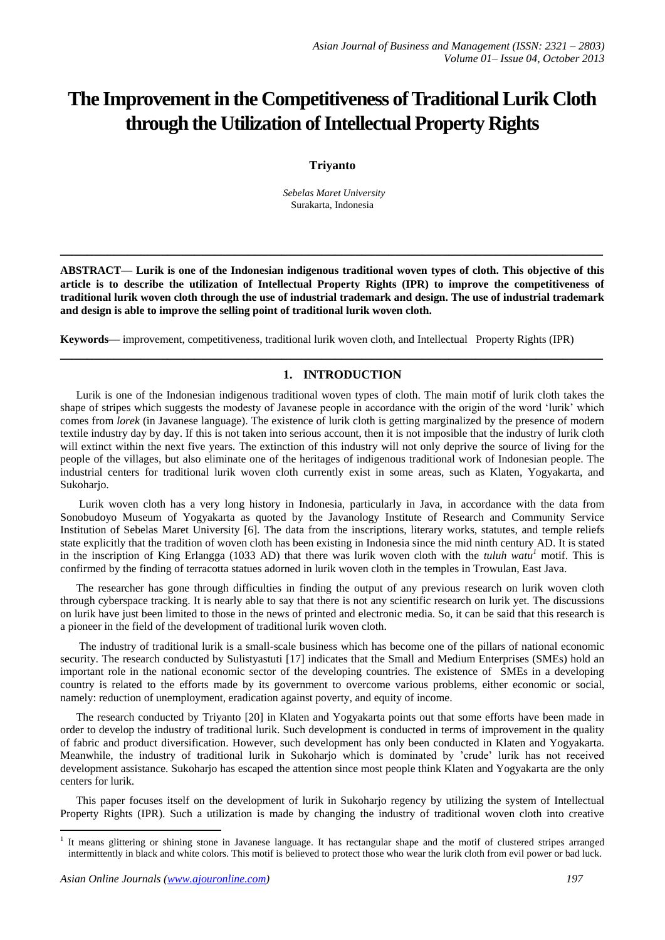# **The Improvement in the Competitiveness of Traditional Lurik Cloth through the Utilization of Intellectual Property Rights**

# **Triyanto**

*Sebelas Maret University* Surakarta, Indonesia

**ABSTRACT— Lurik is one of the Indonesian indigenous traditional woven types of cloth. This objective of this article is to describe the utilization of Intellectual Property Rights (IPR) to improve the competitiveness of traditional lurik woven cloth through the use of industrial trademark and design. The use of industrial trademark and design is able to improve the selling point of traditional lurik woven cloth.**

**\_\_\_\_\_\_\_\_\_\_\_\_\_\_\_\_\_\_\_\_\_\_\_\_\_\_\_\_\_\_\_\_\_\_\_\_\_\_\_\_\_\_\_\_\_\_\_\_\_\_\_\_\_\_\_\_\_\_\_\_\_\_\_\_\_\_\_\_\_\_\_\_\_\_\_\_\_\_\_\_\_**

**\_\_\_\_\_\_\_\_\_\_\_\_\_\_\_\_\_\_\_\_\_\_\_\_\_\_\_\_\_\_\_\_\_\_\_\_\_\_\_\_\_\_\_\_\_\_\_\_\_\_\_\_\_\_\_\_\_\_\_\_\_\_\_\_\_\_\_\_\_\_\_\_\_\_\_\_\_\_\_\_\_**

**Keywords—** improvement, competitiveness, traditional lurik woven cloth, and Intellectual Property Rights (IPR)

# **1. INTRODUCTION**

Lurik is one of the Indonesian indigenous traditional woven types of cloth. The main motif of lurik cloth takes the shape of stripes which suggests the modesty of Javanese people in accordance with the origin of the word 'lurik' which comes from *lorek* (in Javanese language). The existence of lurik cloth is getting marginalized by the presence of modern textile industry day by day. If this is not taken into serious account, then it is not imposible that the industry of lurik cloth will extinct within the next five years. The extinction of this industry will not only deprive the source of living for the people of the villages, but also eliminate one of the heritages of indigenous traditional work of Indonesian people. The industrial centers for traditional lurik woven cloth currently exist in some areas, such as Klaten, Yogyakarta, and Sukohario.

Lurik woven cloth has a very long history in Indonesia, particularly in Java, in accordance with the data from Sonobudoyo Museum of Yogyakarta as quoted by the Javanology Institute of Research and Community Service Institution of Sebelas Maret University [6]. The data from the inscriptions, literary works, statutes, and temple reliefs state explicitly that the tradition of woven cloth has been existing in Indonesia since the mid ninth century AD. It is stated in the inscription of King Erlangga (1033 AD) that there was lurik woven cloth with the *tuluh watu<sup>1</sup>* motif. This is confirmed by the finding of terracotta statues adorned in lurik woven cloth in the temples in Trowulan, East Java.

The researcher has gone through difficulties in finding the output of any previous research on lurik woven cloth through cyberspace tracking. It is nearly able to say that there is not any scientific research on lurik yet. The discussions on lurik have just been limited to those in the news of printed and electronic media. So, it can be said that this research is a pioneer in the field of the development of traditional lurik woven cloth.

The industry of traditional lurik is a small-scale business which has become one of the pillars of national economic security. The research conducted by Sulistyastuti [17] indicates that the Small and Medium Enterprises (SMEs) hold an important role in the national economic sector of the developing countries. The existence of SMEs in a developing country is related to the efforts made by its government to overcome various problems, either economic or social, namely: reduction of unemployment, eradication against poverty, and equity of income.

The research conducted by Triyanto [20] in Klaten and Yogyakarta points out that some efforts have been made in order to develop the industry of traditional lurik. Such development is conducted in terms of improvement in the quality of fabric and product diversification. However, such development has only been conducted in Klaten and Yogyakarta. Meanwhile, the industry of traditional lurik in Sukoharjo which is dominated by 'crude' lurik has not received development assistance. Sukoharjo has escaped the attention since most people think Klaten and Yogyakarta are the only centers for lurik.

This paper focuses itself on the development of lurik in Sukoharjo regency by utilizing the system of Intellectual Property Rights (IPR). Such a utilization is made by changing the industry of traditional woven cloth into creative

1

<sup>&</sup>lt;sup>1</sup> It means glittering or shining stone in Javanese language. It has rectangular shape and the motif of clustered stripes arranged intermittently in black and white colors. This motif is believed to protect those who wear the lurik cloth from evil power or bad luck.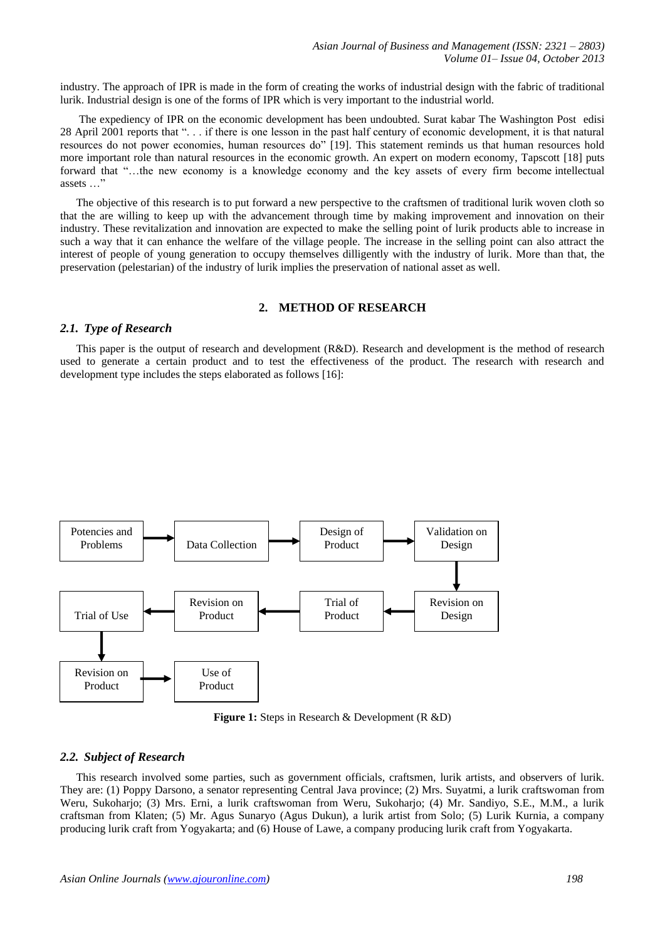industry. The approach of IPR is made in the form of creating the works of industrial design with the fabric of traditional lurik. Industrial design is one of the forms of IPR which is very important to the industrial world.

The expediency of IPR on the economic development has been undoubted. Surat kabar The Washington Post edisi 28 April 2001 reports that ". . . if there is one lesson in the past half century of economic development, it is that natural resources do not power economies, human resources do" [19]. This statement reminds us that human resources hold more important role than natural resources in the economic growth. An expert on modern economy, Tapscott [18] puts forward that "…the new economy is a knowledge economy and the key assets of every firm become intellectual assets …"

The objective of this research is to put forward a new perspective to the craftsmen of traditional lurik woven cloth so that the are willing to keep up with the advancement through time by making improvement and innovation on their industry. These revitalization and innovation are expected to make the selling point of lurik products able to increase in such a way that it can enhance the welfare of the village people. The increase in the selling point can also attract the interest of people of young generation to occupy themselves dilligently with the industry of lurik. More than that, the preservation (pelestarian) of the industry of lurik implies the preservation of national asset as well.

## **2. METHOD OF RESEARCH**

#### *2.1. Type of Research*

This paper is the output of research and development (R&D). Research and development is the method of research used to generate a certain product and to test the effectiveness of the product. The research with research and development type includes the steps elaborated as follows [16]:



**Figure 1:** Steps in Research & Development (R &D)

#### *2.2. Subject of Research*

This research involved some parties, such as government officials, craftsmen, lurik artists, and observers of lurik. They are: (1) Poppy Darsono, a senator representing Central Java province; (2) Mrs. Suyatmi, a lurik craftswoman from Weru, Sukoharjo; (3) Mrs. Erni, a lurik craftswoman from Weru, Sukoharjo; (4) Mr. Sandiyo, S.E., M.M., a lurik craftsman from Klaten; (5) Mr. Agus Sunaryo (Agus Dukun), a lurik artist from Solo; (5) Lurik Kurnia, a company producing lurik craft from Yogyakarta; and (6) House of Lawe, a company producing lurik craft from Yogyakarta.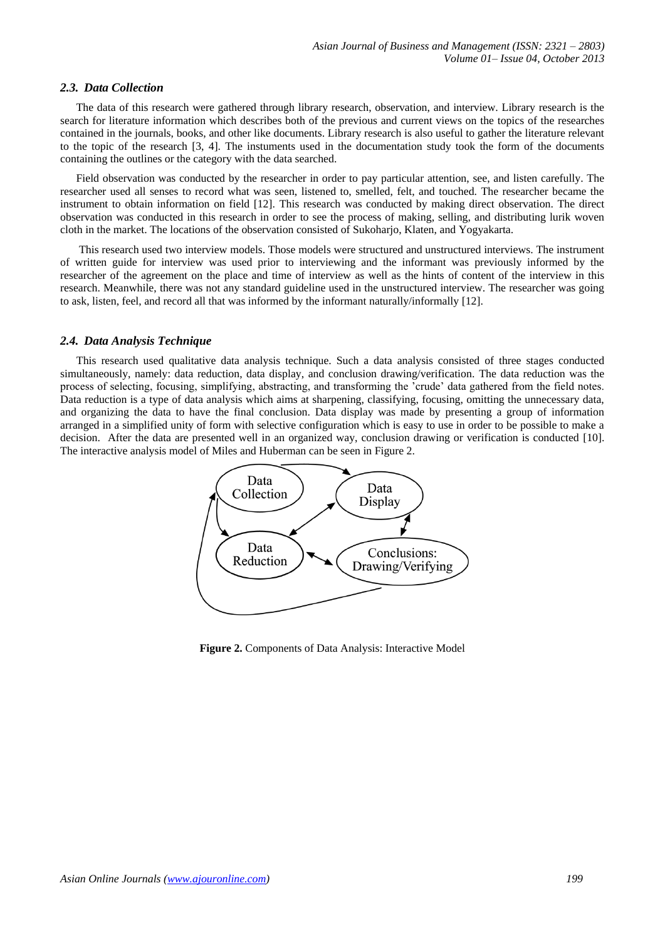## *2.3. Data Collection*

The data of this research were gathered through library research, observation, and interview. Library research is the search for literature information which describes both of the previous and current views on the topics of the researches contained in the journals, books, and other like documents. Library research is also useful to gather the literature relevant to the topic of the research [3, 4]. The instuments used in the documentation study took the form of the documents containing the outlines or the category with the data searched.

Field observation was conducted by the researcher in order to pay particular attention, see, and listen carefully. The researcher used all senses to record what was seen, listened to, smelled, felt, and touched. The researcher became the instrument to obtain information on field [12]. This research was conducted by making direct observation. The direct observation was conducted in this research in order to see the process of making, selling, and distributing lurik woven cloth in the market. The locations of the observation consisted of Sukoharjo, Klaten, and Yogyakarta.

This research used two interview models. Those models were structured and unstructured interviews. The instrument of written guide for interview was used prior to interviewing and the informant was previously informed by the researcher of the agreement on the place and time of interview as well as the hints of content of the interview in this research. Meanwhile, there was not any standard guideline used in the unstructured interview. The researcher was going to ask, listen, feel, and record all that was informed by the informant naturally/informally [12].

## *2.4. Data Analysis Technique*

This research used qualitative data analysis technique. Such a data analysis consisted of three stages conducted simultaneously, namely: data reduction, data display, and conclusion drawing/verification. The data reduction was the process of selecting, focusing, simplifying, abstracting, and transforming the 'crude' data gathered from the field notes. Data reduction is a type of data analysis which aims at sharpening, classifying, focusing, omitting the unnecessary data, and organizing the data to have the final conclusion. Data display was made by presenting a group of information arranged in a simplified unity of form with selective configuration which is easy to use in order to be possible to make a decision. After the data are presented well in an organized way, conclusion drawing or verification is conducted [10]. The interactive analysis model of Miles and Huberman can be seen in Figure 2.



**Figure 2.** Components of Data Analysis: Interactive Model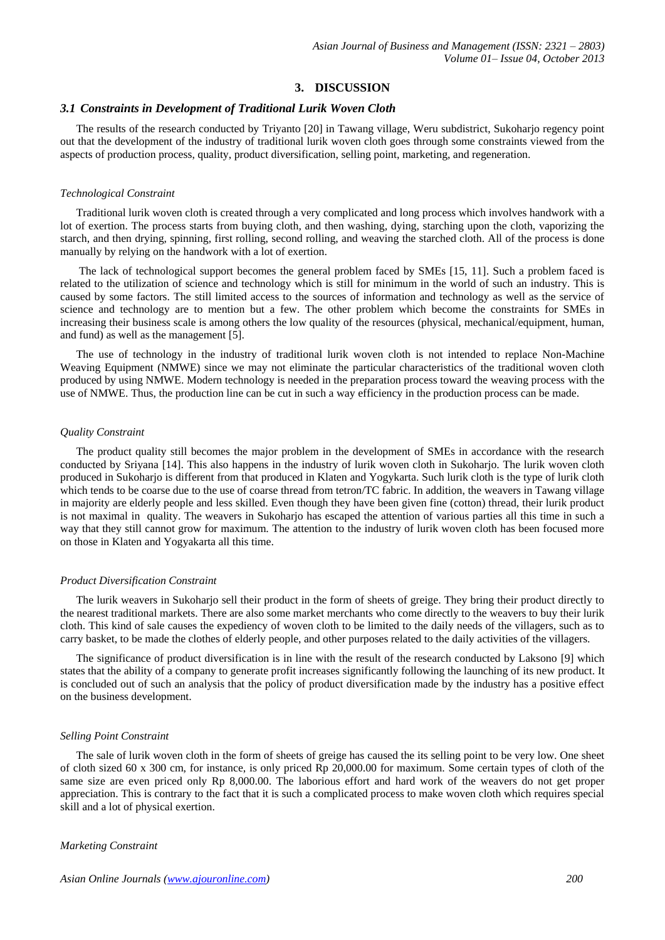## **3. DISCUSSION**

#### *3.1 Constraints in Development of Traditional Lurik Woven Cloth*

The results of the research conducted by Triyanto [20] in Tawang village, Weru subdistrict, Sukoharjo regency point out that the development of the industry of traditional lurik woven cloth goes through some constraints viewed from the aspects of production process, quality, product diversification, selling point, marketing, and regeneration.

#### *Technological Constraint*

Traditional lurik woven cloth is created through a very complicated and long process which involves handwork with a lot of exertion. The process starts from buying cloth, and then washing, dying, starching upon the cloth, vaporizing the starch, and then drying, spinning, first rolling, second rolling, and weaving the starched cloth. All of the process is done manually by relying on the handwork with a lot of exertion.

The lack of technological support becomes the general problem faced by SMEs [15, 11]. Such a problem faced is related to the utilization of science and technology which is still for minimum in the world of such an industry. This is caused by some factors. The still limited access to the sources of information and technology as well as the service of science and technology are to mention but a few. The other problem which become the constraints for SMEs in increasing their business scale is among others the low quality of the resources (physical, mechanical/equipment, human, and fund) as well as the management [5].

The use of technology in the industry of traditional lurik woven cloth is not intended to replace Non-Machine Weaving Equipment (NMWE) since we may not eliminate the particular characteristics of the traditional woven cloth produced by using NMWE. Modern technology is needed in the preparation process toward the weaving process with the use of NMWE. Thus, the production line can be cut in such a way efficiency in the production process can be made.

#### *Quality Constraint*

The product quality still becomes the major problem in the development of SMEs in accordance with the research conducted by Sriyana [14]. This also happens in the industry of lurik woven cloth in Sukoharjo. The lurik woven cloth produced in Sukoharjo is different from that produced in Klaten and Yogykarta. Such lurik cloth is the type of lurik cloth which tends to be coarse due to the use of coarse thread from tetron/TC fabric. In addition, the weavers in Tawang village in majority are elderly people and less skilled. Even though they have been given fine (cotton) thread, their lurik product is not maximal in quality. The weavers in Sukoharjo has escaped the attention of various parties all this time in such a way that they still cannot grow for maximum. The attention to the industry of lurik woven cloth has been focused more on those in Klaten and Yogyakarta all this time.

#### *Product Diversification Constraint*

The lurik weavers in Sukoharjo sell their product in the form of sheets of greige. They bring their product directly to the nearest traditional markets. There are also some market merchants who come directly to the weavers to buy their lurik cloth. This kind of sale causes the expediency of woven cloth to be limited to the daily needs of the villagers, such as to carry basket, to be made the clothes of elderly people, and other purposes related to the daily activities of the villagers.

The significance of product diversification is in line with the result of the research conducted by Laksono [9] which states that the ability of a company to generate profit increases significantly following the launching of its new product. It is concluded out of such an analysis that the policy of product diversification made by the industry has a positive effect on the business development.

## *Selling Point Constraint*

The sale of lurik woven cloth in the form of sheets of greige has caused the its selling point to be very low. One sheet of cloth sized 60 x 300 cm, for instance, is only priced Rp 20,000.00 for maximum. Some certain types of cloth of the same size are even priced only Rp 8,000.00. The laborious effort and hard work of the weavers do not get proper appreciation. This is contrary to the fact that it is such a complicated process to make woven cloth which requires special skill and a lot of physical exertion.

#### *Marketing Constraint*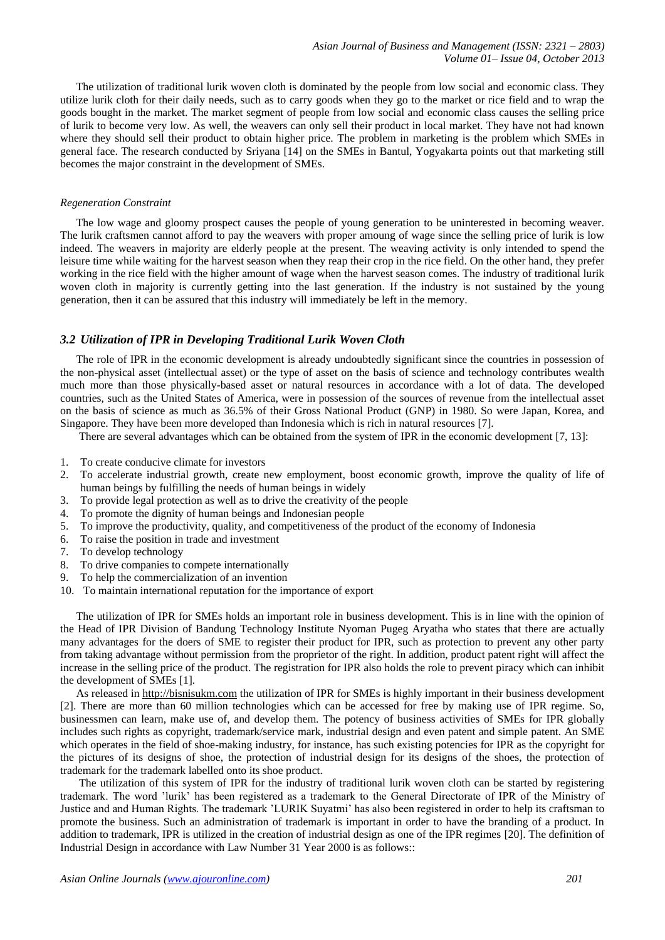The utilization of traditional lurik woven cloth is dominated by the people from low social and economic class. They utilize lurik cloth for their daily needs, such as to carry goods when they go to the market or rice field and to wrap the goods bought in the market. The market segment of people from low social and economic class causes the selling price of lurik to become very low. As well, the weavers can only sell their product in local market. They have not had known where they should sell their product to obtain higher price. The problem in marketing is the problem which SMEs in general face. The research conducted by Sriyana [14] on the SMEs in Bantul, Yogyakarta points out that marketing still becomes the major constraint in the development of SMEs.

#### *Regeneration Constraint*

The low wage and gloomy prospect causes the people of young generation to be uninterested in becoming weaver. The lurik craftsmen cannot afford to pay the weavers with proper amoung of wage since the selling price of lurik is low indeed. The weavers in majority are elderly people at the present. The weaving activity is only intended to spend the leisure time while waiting for the harvest season when they reap their crop in the rice field. On the other hand, they prefer working in the rice field with the higher amount of wage when the harvest season comes. The industry of traditional lurik woven cloth in majority is currently getting into the last generation. If the industry is not sustained by the young generation, then it can be assured that this industry will immediately be left in the memory.

# *3.2 Utilization of IPR in Developing Traditional Lurik Woven Cloth*

The role of IPR in the economic development is already undoubtedly significant since the countries in possession of the non-physical asset (intellectual asset) or the type of asset on the basis of science and technology contributes wealth much more than those physically-based asset or natural resources in accordance with a lot of data. The developed countries, such as the United States of America, were in possession of the sources of revenue from the intellectual asset on the basis of science as much as 36.5% of their Gross National Product (GNP) in 1980. So were Japan, Korea, and Singapore. They have been more developed than Indonesia which is rich in natural resources [7].

There are several advantages which can be obtained from the system of IPR in the economic development [7, 13]:

- 1. To create conducive climate for investors
- 2. To accelerate industrial growth, create new employment, boost economic growth, improve the quality of life of human beings by fulfilling the needs of human beings in widely
- 3. To provide legal protection as well as to drive the creativity of the people
- 4. To promote the dignity of human beings and Indonesian people
- 5. To improve the productivity, quality, and competitiveness of the product of the economy of Indonesia
- 6. To raise the position in trade and investment
- 7. To develop technology
- 8. To drive companies to compete internationally
- 9. To help the commercialization of an invention
- 10. To maintain international reputation for the importance of export

The utilization of IPR for SMEs holds an important role in business development. This is in line with the opinion of the Head of IPR Division of Bandung Technology Institute Nyoman Pugeg Aryatha who states that there are actually many advantages for the doers of SME to register their product for IPR, such as protection to prevent any other party from taking advantage without permission from the proprietor of the right. In addition, product patent right will affect the increase in the selling price of the product. The registration for IPR also holds the role to prevent piracy which can inhibit the development of SMEs [1].

As released i[n http://bisnisukm.com](http://bisnisukm.com/) the utilization of IPR for SMEs is highly important in their business development [2]. There are more than 60 million technologies which can be accessed for free by making use of IPR regime. So, businessmen can learn, make use of, and develop them. The potency of business activities of SMEs for IPR globally includes such rights as copyright, trademark/service mark, industrial design and even patent and simple patent. An SME which operates in the field of shoe-making industry, for instance, has such existing potencies for IPR as the copyright for the pictures of its designs of shoe, the protection of industrial design for its designs of the shoes, the protection of trademark for the trademark labelled onto its shoe product.

The utilization of this system of IPR for the industry of traditional lurik woven cloth can be started by registering trademark. The word 'lurik' has been registered as a trademark to the General Directorate of IPR of the Ministry of Justice and and Human Rights. The trademark 'LURIK Suyatmi' has also been registered in order to help its craftsman to promote the business. Such an administration of trademark is important in order to have the branding of a product. In addition to trademark, IPR is utilized in the creation of industrial design as one of the IPR regimes [20]. The definition of Industrial Design in accordance with Law Number 31 Year 2000 is as follows::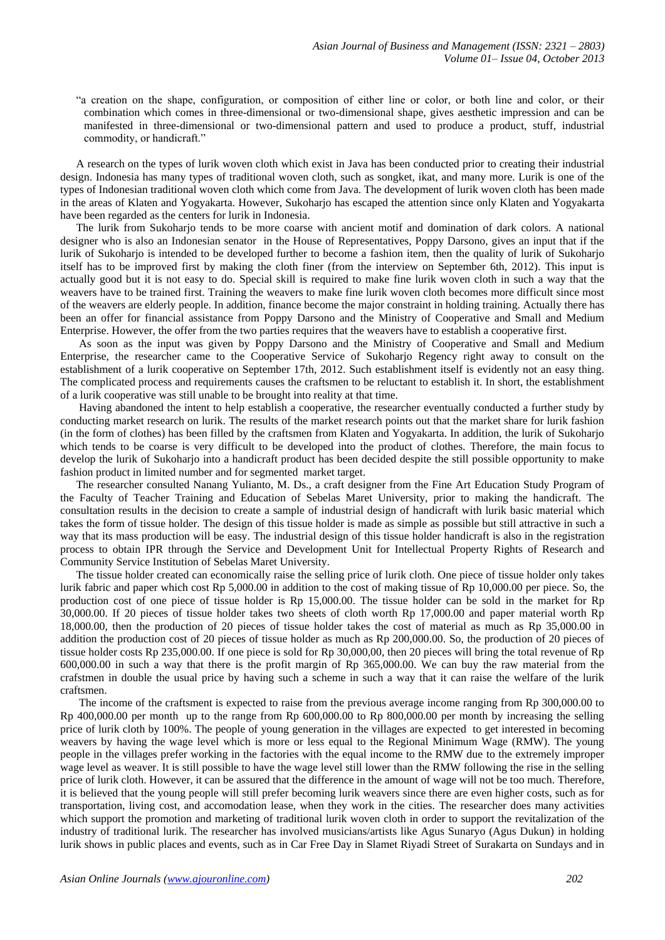"a creation on the shape, configuration, or composition of either line or color, or both line and color, or their combination which comes in three-dimensional or two-dimensional shape, gives aesthetic impression and can be manifested in three-dimensional or two-dimensional pattern and used to produce a product, stuff, industrial commodity, or handicraft."

A research on the types of lurik woven cloth which exist in Java has been conducted prior to creating their industrial design. Indonesia has many types of traditional woven cloth, such as songket, ikat, and many more. Lurik is one of the types of Indonesian traditional woven cloth which come from Java. The development of lurik woven cloth has been made in the areas of Klaten and Yogyakarta. However, Sukoharjo has escaped the attention since only Klaten and Yogyakarta have been regarded as the centers for lurik in Indonesia.

The lurik from Sukoharjo tends to be more coarse with ancient motif and domination of dark colors. A national designer who is also an Indonesian senator in the House of Representatives, Poppy Darsono, gives an input that if the lurik of Sukoharjo is intended to be developed further to become a fashion item, then the quality of lurik of Sukoharjo itself has to be improved first by making the cloth finer (from the interview on September 6th, 2012). This input is actually good but it is not easy to do. Special skill is required to make fine lurik woven cloth in such a way that the weavers have to be trained first. Training the weavers to make fine lurik woven cloth becomes more difficult since most of the weavers are elderly people. In addition, finance become the major constraint in holding training. Actually there has been an offer for financial assistance from Poppy Darsono and the Ministry of Cooperative and Small and Medium Enterprise. However, the offer from the two parties requires that the weavers have to establish a cooperative first.

As soon as the input was given by Poppy Darsono and the Ministry of Cooperative and Small and Medium Enterprise, the researcher came to the Cooperative Service of Sukoharjo Regency right away to consult on the establishment of a lurik cooperative on September 17th, 2012. Such establishment itself is evidently not an easy thing. The complicated process and requirements causes the craftsmen to be reluctant to establish it. In short, the establishment of a lurik cooperative was still unable to be brought into reality at that time.

Having abandoned the intent to help establish a cooperative, the researcher eventually conducted a further study by conducting market research on lurik. The results of the market research points out that the market share for lurik fashion (in the form of clothes) has been filled by the craftsmen from Klaten and Yogyakarta. In addition, the lurik of Sukoharjo which tends to be coarse is very difficult to be developed into the product of clothes. Therefore, the main focus to develop the lurik of Sukoharjo into a handicraft product has been decided despite the still possible opportunity to make fashion product in limited number and for segmented market target.

The researcher consulted Nanang Yulianto, M. Ds., a craft designer from the Fine Art Education Study Program of the Faculty of Teacher Training and Education of Sebelas Maret University, prior to making the handicraft. The consultation results in the decision to create a sample of industrial design of handicraft with lurik basic material which takes the form of tissue holder. The design of this tissue holder is made as simple as possible but still attractive in such a way that its mass production will be easy. The industrial design of this tissue holder handicraft is also in the registration process to obtain IPR through the Service and Development Unit for Intellectual Property Rights of Research and Community Service Institution of Sebelas Maret University.

The tissue holder created can economically raise the selling price of lurik cloth. One piece of tissue holder only takes lurik fabric and paper which cost Rp 5,000.00 in addition to the cost of making tissue of Rp 10,000.00 per piece. So, the production cost of one piece of tissue holder is Rp 15,000.00. The tissue holder can be sold in the market for Rp 30,000.00. If 20 pieces of tissue holder takes two sheets of cloth worth Rp 17,000.00 and paper material worth Rp 18,000.00, then the production of 20 pieces of tissue holder takes the cost of material as much as Rp 35,000.00 in addition the production cost of 20 pieces of tissue holder as much as Rp 200,000.00. So, the production of 20 pieces of tissue holder costs Rp 235,000.00. If one piece is sold for Rp 30,000,00, then 20 pieces will bring the total revenue of Rp 600,000.00 in such a way that there is the profit margin of Rp 365,000.00. We can buy the raw material from the crafstmen in double the usual price by having such a scheme in such a way that it can raise the welfare of the lurik craftsmen.

The income of the craftsment is expected to raise from the previous average income ranging from Rp 300,000.00 to Rp 400,000.00 per month up to the range from Rp 600,000.00 to Rp 800,000.00 per month by increasing the selling price of lurik cloth by 100%. The people of young generation in the villages are expected to get interested in becoming weavers by having the wage level which is more or less equal to the Regional Minimum Wage (RMW). The young people in the villages prefer working in the factories with the equal income to the RMW due to the extremely improper wage level as weaver. It is still possible to have the wage level still lower than the RMW following the rise in the selling price of lurik cloth. However, it can be assured that the difference in the amount of wage will not be too much. Therefore, it is believed that the young people will still prefer becoming lurik weavers since there are even higher costs, such as for transportation, living cost, and accomodation lease, when they work in the cities. The researcher does many activities which support the promotion and marketing of traditional lurik woven cloth in order to support the revitalization of the industry of traditional lurik. The researcher has involved musicians/artists like Agus Sunaryo (Agus Dukun) in holding lurik shows in public places and events, such as in Car Free Day in Slamet Riyadi Street of Surakarta on Sundays and in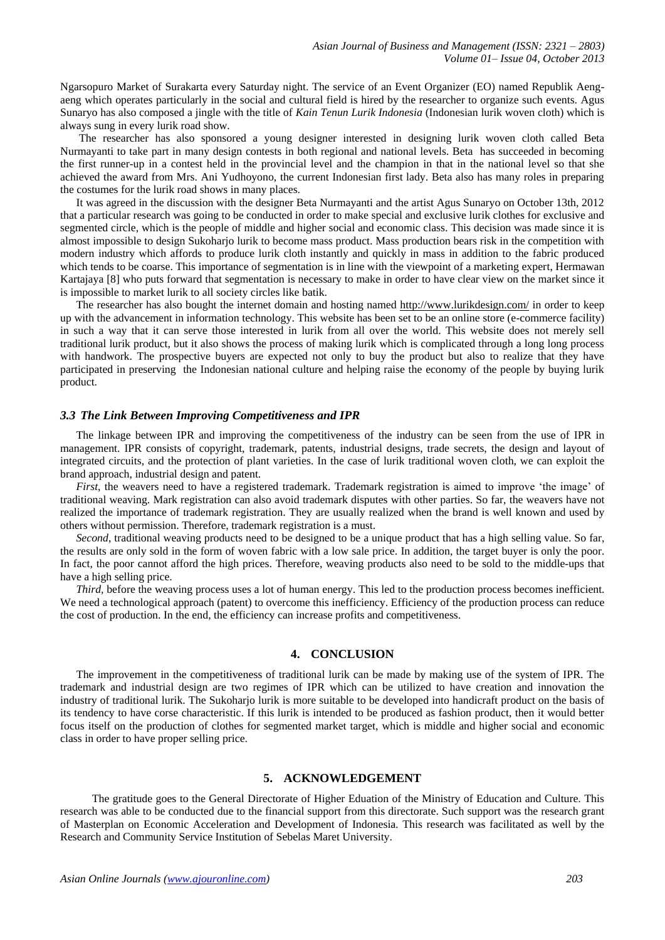Ngarsopuro Market of Surakarta every Saturday night. The service of an Event Organizer (EO) named Republik Aengaeng which operates particularly in the social and cultural field is hired by the researcher to organize such events. Agus Sunaryo has also composed a jingle with the title of *Kain Tenun Lurik Indonesia* (Indonesian lurik woven cloth) which is always sung in every lurik road show.

The researcher has also sponsored a young designer interested in designing lurik woven cloth called Beta Nurmayanti to take part in many design contests in both regional and national levels. Beta has succeeded in becoming the first runner-up in a contest held in the provincial level and the champion in that in the national level so that she achieved the award from Mrs. Ani Yudhoyono, the current Indonesian first lady. Beta also has many roles in preparing the costumes for the lurik road shows in many places.

It was agreed in the discussion with the designer Beta Nurmayanti and the artist Agus Sunaryo on October 13th, 2012 that a particular research was going to be conducted in order to make special and exclusive lurik clothes for exclusive and segmented circle, which is the people of middle and higher social and economic class. This decision was made since it is almost impossible to design Sukoharjo lurik to become mass product. Mass production bears risk in the competition with modern industry which affords to produce lurik cloth instantly and quickly in mass in addition to the fabric produced which tends to be coarse. This importance of segmentation is in line with the viewpoint of a marketing expert, Hermawan Kartajaya [8] who puts forward that segmentation is necessary to make in order to have clear view on the market since it is impossible to market lurik to all society circles like batik.

The researcher has also bought the internet domain and hosting named<http://www.lurikdesign.com/> in order to keep up with the advancement in information technology. This website has been set to be an online store (e-commerce facility) in such a way that it can serve those interested in lurik from all over the world. This website does not merely sell traditional lurik product, but it also shows the process of making lurik which is complicated through a long long process with handwork. The prospective buyers are expected not only to buy the product but also to realize that they have participated in preserving the Indonesian national culture and helping raise the economy of the people by buying lurik product.

## *3.3 The Link Between Improving Competitiveness and IPR*

The linkage between IPR and improving the competitiveness of the industry can be seen from the use of IPR in management. IPR consists of copyright, trademark, patents, industrial designs, trade secrets, the design and layout of integrated circuits, and the protection of plant varieties. In the case of lurik traditional woven cloth, we can exploit the brand approach, industrial design and patent.

*First*, the weavers need to have a registered trademark. Trademark registration is aimed to improve 'the image' of traditional weaving. Mark registration can also avoid trademark disputes with other parties. So far, the weavers have not realized the importance of trademark registration. They are usually realized when the brand is well known and used by others without permission. Therefore, trademark registration is a must.

*Second*, traditional weaving products need to be designed to be a unique product that has a high selling value. So far, the results are only sold in the form of woven fabric with a low sale price. In addition, the target buyer is only the poor. In fact, the poor cannot afford the high prices. Therefore, weaving products also need to be sold to the middle-ups that have a high selling price.

*Third*, before the weaving process uses a lot of human energy. This led to the production process becomes inefficient. We need a technological approach (patent) to overcome this inefficiency. Efficiency of the production process can reduce the cost of production. In the end, the efficiency can increase profits and competitiveness.

### **4. CONCLUSION**

The improvement in the competitiveness of traditional lurik can be made by making use of the system of IPR. The trademark and industrial design are two regimes of IPR which can be utilized to have creation and innovation the industry of traditional lurik. The Sukoharjo lurik is more suitable to be developed into handicraft product on the basis of its tendency to have corse characteristic. If this lurik is intended to be produced as fashion product, then it would better focus itself on the production of clothes for segmented market target, which is middle and higher social and economic class in order to have proper selling price.

# **5. ACKNOWLEDGEMENT**

The gratitude goes to the General Directorate of Higher Eduation of the Ministry of Education and Culture. This research was able to be conducted due to the financial support from this directorate. Such support was the research grant of Masterplan on Economic Acceleration and Development of Indonesia. This research was facilitated as well by the Research and Community Service Institution of Sebelas Maret University.